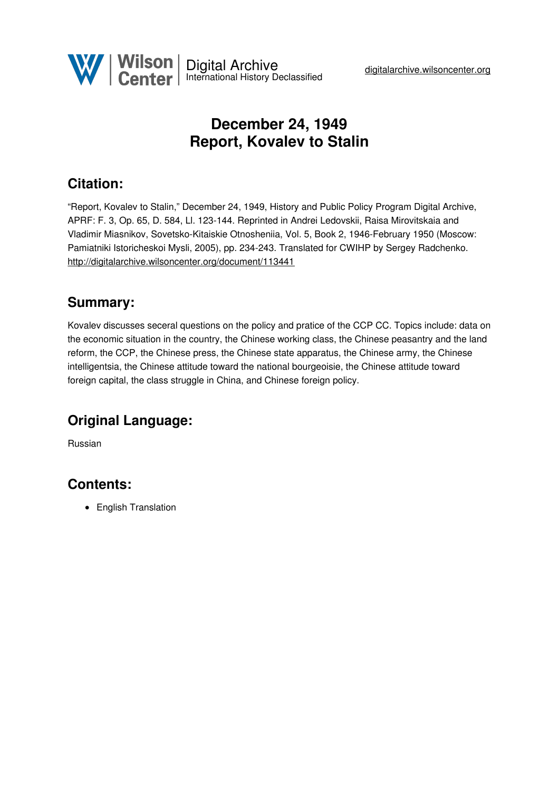

# **December 24, 1949 Report, Kovalev to Stalin**

## **Citation:**

"Report, Kovalev to Stalin," December 24, 1949, History and Public Policy Program Digital Archive, APRF: F. 3, Op. 65, D. 584, Ll. 123-144. Reprinted in Andrei Ledovskii, Raisa Mirovitskaia and Vladimir Miasnikov, Sovetsko-Kitaiskie Otnosheniia, Vol. 5, Book 2, 1946-February 1950 (Moscow: Pamiatniki Istoricheskoi Mysli, 2005), pp. 234-243. Translated for CWIHP by Sergey Radchenko. <http://digitalarchive.wilsoncenter.org/document/113441>

### **Summary:**

Kovalev discusses seceral questions on the policy and pratice of the CCP CC. Topics include: data on the economic situation in the country, the Chinese working class, the Chinese peasantry and the land reform, the CCP, the Chinese press, the Chinese state apparatus, the Chinese army, the Chinese intelligentsia, the Chinese attitude toward the national bourgeoisie, the Chinese attitude toward foreign capital, the class struggle in China, and Chinese foreign policy.

## **Original Language:**

Russian

## **Contents:**

• English Translation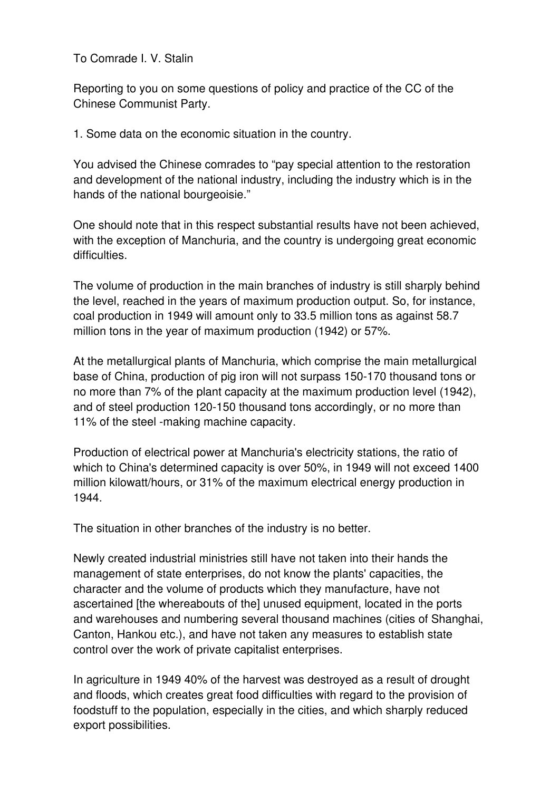To Comrade I. V. Stalin

Reporting to you on some questions of policy and practice of the CC of the Chinese Communist Party.

1. Some data on the economic situation in the country.

You advised the Chinese comrades to "pay special attention to the restoration and development of the national industry, including the industry which is in the hands of the national bourgeoisie."

One should note that in this respect substantial results have not been achieved, with the exception of Manchuria, and the country is undergoing great economic difficulties.

The volume of production in the main branches of industry is still sharply behind the level, reached in the years of maximum production output. So, for instance, coal production in 1949 will amount only to 33.5 million tons as against 58.7 million tons in the year of maximum production (1942) or 57%.

At the metallurgical plants of Manchuria, which comprise the main metallurgical base of China, production of pig iron will not surpass 150-170 thousand tons or no more than 7% of the plant capacity at the maximum production level (1942), and of steel production 120-150 thousand tons accordingly, or no more than 11% of the steel -making machine capacity.

Production of electrical power at Manchuria's electricity stations, the ratio of which to China's determined capacity is over 50%, in 1949 will not exceed 1400 million kilowatt/hours, or 31% of the maximum electrical energy production in 1944.

The situation in other branches of the industry is no better.

Newly created industrial ministries still have not taken into their hands the management of state enterprises, do not know the plants' capacities, the character and the volume of products which they manufacture, have not ascertained [the whereabouts of the] unused equipment, located in the ports and warehouses and numbering several thousand machines (cities of Shanghai, Canton, Hankou etc.), and have not taken any measures to establish state control over the work of private capitalist enterprises.

In agriculture in 1949 40% of the harvest was destroyed as a result of drought and floods, which creates great food difficulties with regard to the provision of foodstuff to the population, especially in the cities, and which sharply reduced export possibilities.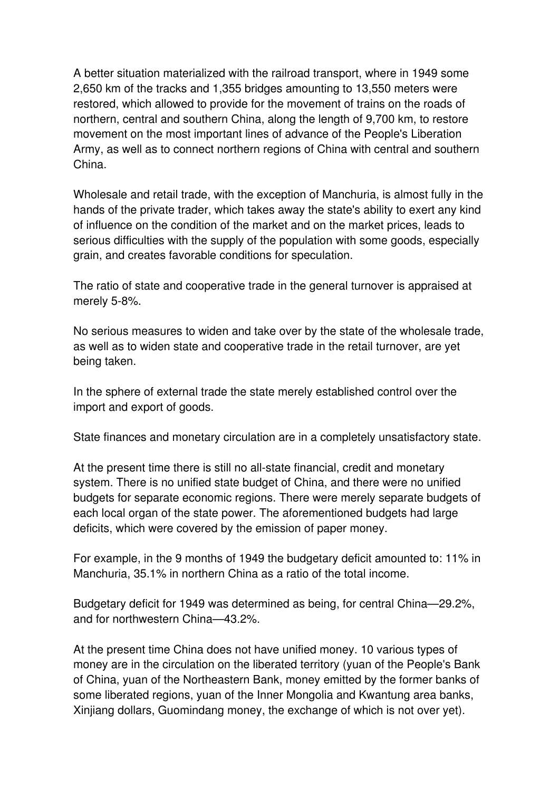A better situation materialized with the railroad transport, where in 1949 some 2,650 km of the tracks and 1,355 bridges amounting to 13,550 meters were restored, which allowed to provide for the movement of trains on the roads of northern, central and southern China, along the length of 9,700 km, to restore movement on the most important lines of advance of the People's Liberation Army, as well as to connect northern regions of China with central and southern China.

Wholesale and retail trade, with the exception of Manchuria, is almost fully in the hands of the private trader, which takes away the state's ability to exert any kind of influence on the condition of the market and on the market prices, leads to serious difficulties with the supply of the population with some goods, especially grain, and creates favorable conditions for speculation.

The ratio of state and cooperative trade in the general turnover is appraised at merely 5-8%.

No serious measures to widen and take over by the state of the wholesale trade, as well as to widen state and cooperative trade in the retail turnover, are yet being taken.

In the sphere of external trade the state merely established control over the import and export of goods.

State finances and monetary circulation are in a completely unsatisfactory state.

At the present time there is still no all-state financial, credit and monetary system. There is no unified state budget of China, and there were no unified budgets for separate economic regions. There were merely separate budgets of each local organ of the state power. The aforementioned budgets had large deficits, which were covered by the emission of paper money.

For example, in the 9 months of 1949 the budgetary deficit amounted to: 11% in Manchuria, 35.1% in northern China as a ratio of the total income.

Budgetary deficit for 1949 was determined as being, for central China—29.2%, and for northwestern China—43.2%.

At the present time China does not have unified money. 10 various types of money are in the circulation on the liberated territory (yuan of the People's Bank of China, yuan of the Northeastern Bank, money emitted by the former banks of some liberated regions, yuan of the Inner Mongolia and Kwantung area banks, Xinjiang dollars, Guomindang money, the exchange of which is not over yet).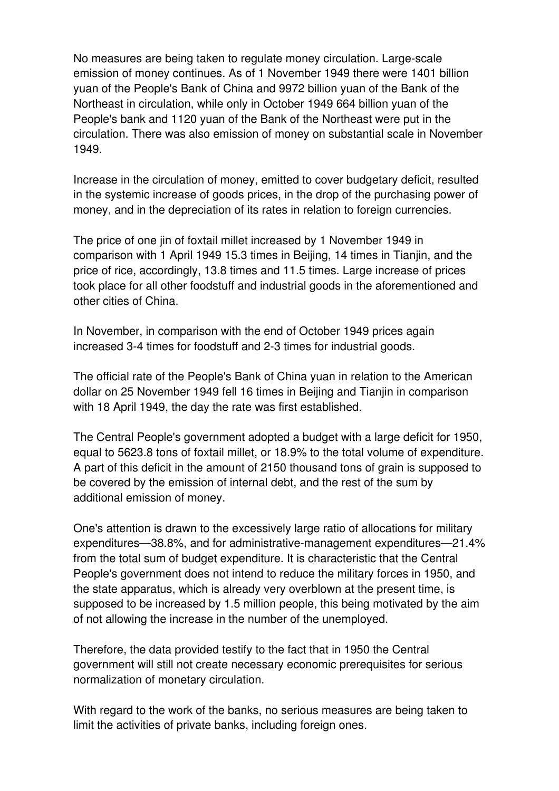No measures are being taken to regulate money circulation. Large-scale emission of money continues. As of 1 November 1949 there were 1401 billion yuan of the People's Bank of China and 9972 billion yuan of the Bank of the Northeast in circulation, while only in October 1949 664 billion yuan of the People's bank and 1120 yuan of the Bank of the Northeast were put in the circulation. There was also emission of money on substantial scale in November 1949.

Increase in the circulation of money, emitted to cover budgetary deficit, resulted in the systemic increase of goods prices, in the drop of the purchasing power of money, and in the depreciation of its rates in relation to foreign currencies.

The price of one jin of foxtail millet increased by 1 November 1949 in comparison with 1 April 1949 15.3 times in Beijing, 14 times in Tianjin, and the price of rice, accordingly, 13.8 times and 11.5 times. Large increase of prices took place for all other foodstuff and industrial goods in the aforementioned and other cities of China.

In November, in comparison with the end of October 1949 prices again increased 3-4 times for foodstuff and 2-3 times for industrial goods.

The official rate of the People's Bank of China yuan in relation to the American dollar on 25 November 1949 fell 16 times in Beijing and Tianjin in comparison with 18 April 1949, the day the rate was first established.

The Central People's government adopted a budget with a large deficit for 1950, equal to 5623.8 tons of foxtail millet, or 18.9% to the total volume of expenditure. A part of this deficit in the amount of 2150 thousand tons of grain is supposed to be covered by the emission of internal debt, and the rest of the sum by additional emission of money.

One's attention is drawn to the excessively large ratio of allocations for military expenditures—38.8%, and for administrative-management expenditures—21.4% from the total sum of budget expenditure. It is characteristic that the Central People's government does not intend to reduce the military forces in 1950, and the state apparatus, which is already very overblown at the present time, is supposed to be increased by 1.5 million people, this being motivated by the aim of not allowing the increase in the number of the unemployed.

Therefore, the data provided testify to the fact that in 1950 the Central government will still not create necessary economic prerequisites for serious normalization of monetary circulation.

With regard to the work of the banks, no serious measures are being taken to limit the activities of private banks, including foreign ones.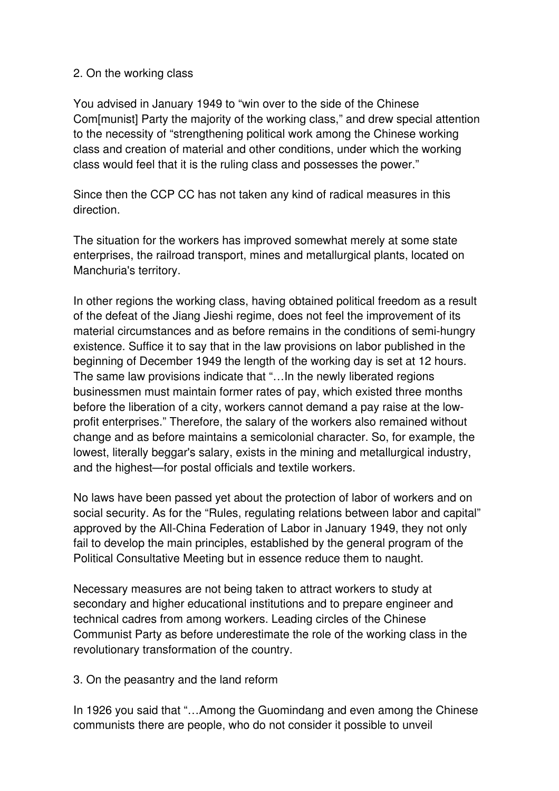#### 2. On the working class

You advised in January 1949 to "win over to the side of the Chinese Com[munist] Party the majority of the working class," and drew special attention to the necessity of "strengthening political work among the Chinese working class and creation of material and other conditions, under which the working class would feel that it is the ruling class and possesses the power."

Since then the CCP CC has not taken any kind of radical measures in this direction.

The situation for the workers has improved somewhat merely at some state enterprises, the railroad transport, mines and metallurgical plants, located on Manchuria's territory.

In other regions the working class, having obtained political freedom as a result of the defeat of the Jiang Jieshi regime, does not feel the improvement of its material circumstances and as before remains in the conditions of semi-hungry existence. Suffice it to say that in the law provisions on labor published in the beginning of December 1949 the length of the working day is set at 12 hours. The same law provisions indicate that "…In the newly liberated regions businessmen must maintain former rates of pay, which existed three months before the liberation of a city, workers cannot demand a pay raise at the lowprofit enterprises." Therefore, the salary of the workers also remained without change and as before maintains a semicolonial character. So, for example, the lowest, literally beggar's salary, exists in the mining and metallurgical industry, and the highest—for postal officials and textile workers.

No laws have been passed yet about the protection of labor of workers and on social security. As for the "Rules, regulating relations between labor and capital" approved by the All-China Federation of Labor in January 1949, they not only fail to develop the main principles, established by the general program of the Political Consultative Meeting but in essence reduce them to naught.

Necessary measures are not being taken to attract workers to study at secondary and higher educational institutions and to prepare engineer and technical cadres from among workers. Leading circles of the Chinese Communist Party as before underestimate the role of the working class in the revolutionary transformation of the country.

3. On the peasantry and the land reform

In 1926 you said that "…Among the Guomindang and even among the Chinese communists there are people, who do not consider it possible to unveil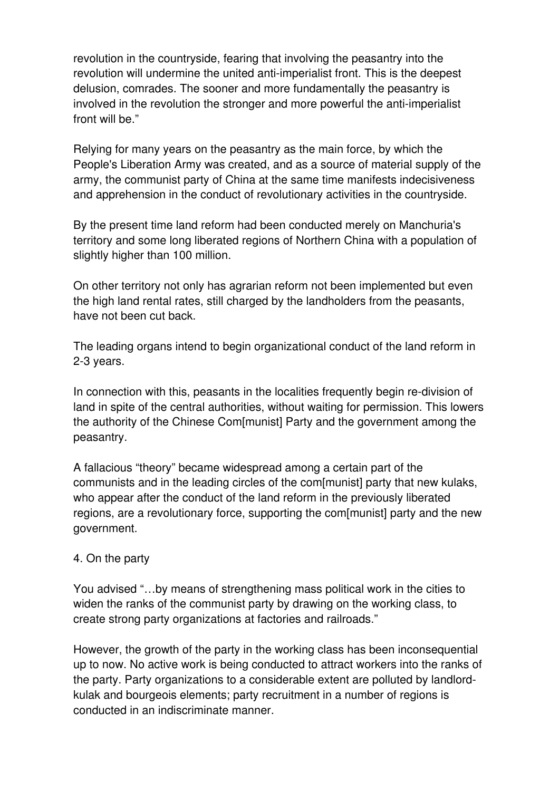revolution in the countryside, fearing that involving the peasantry into the revolution will undermine the united anti-imperialist front. This is the deepest delusion, comrades. The sooner and more fundamentally the peasantry is involved in the revolution the stronger and more powerful the anti-imperialist front will be."

Relying for many years on the peasantry as the main force, by which the People's Liberation Army was created, and as a source of material supply of the army, the communist party of China at the same time manifests indecisiveness and apprehension in the conduct of revolutionary activities in the countryside.

By the present time land reform had been conducted merely on Manchuria's territory and some long liberated regions of Northern China with a population of slightly higher than 100 million.

On other territory not only has agrarian reform not been implemented but even the high land rental rates, still charged by the landholders from the peasants, have not been cut back.

The leading organs intend to begin organizational conduct of the land reform in 2-3 years.

In connection with this, peasants in the localities frequently begin re-division of land in spite of the central authorities, without waiting for permission. This lowers the authority of the Chinese Com[munist] Party and the government among the peasantry.

A fallacious "theory" became widespread among a certain part of the communists and in the leading circles of the com[munist] party that new kulaks, who appear after the conduct of the land reform in the previously liberated regions, are a revolutionary force, supporting the com[munist] party and the new government.

#### 4. On the party

You advised "…by means of strengthening mass political work in the cities to widen the ranks of the communist party by drawing on the working class, to create strong party organizations at factories and railroads."

However, the growth of the party in the working class has been inconsequential up to now. No active work is being conducted to attract workers into the ranks of the party. Party organizations to a considerable extent are polluted by landlordkulak and bourgeois elements; party recruitment in a number of regions is conducted in an indiscriminate manner.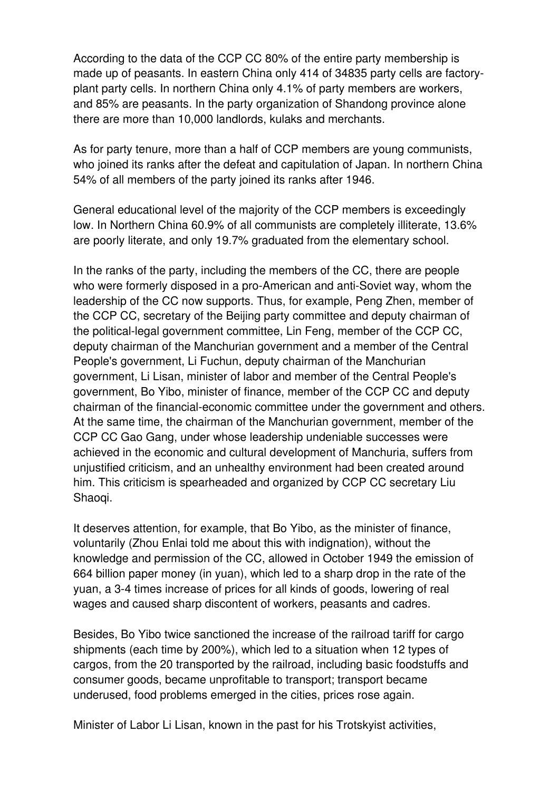According to the data of the CCP CC 80% of the entire party membership is made up of peasants. In eastern China only 414 of 34835 party cells are factoryplant party cells. In northern China only 4.1% of party members are workers, and 85% are peasants. In the party organization of Shandong province alone there are more than 10,000 landlords, kulaks and merchants.

As for party tenure, more than a half of CCP members are young communists, who joined its ranks after the defeat and capitulation of Japan. In northern China 54% of all members of the party joined its ranks after 1946.

General educational level of the majority of the CCP members is exceedingly low. In Northern China 60.9% of all communists are completely illiterate, 13.6% are poorly literate, and only 19.7% graduated from the elementary school.

In the ranks of the party, including the members of the CC, there are people who were formerly disposed in a pro-American and anti-Soviet way, whom the leadership of the CC now supports. Thus, for example, Peng Zhen, member of the CCP CC, secretary of the Beijing party committee and deputy chairman of the political-legal government committee, Lin Feng, member of the CCP CC, deputy chairman of the Manchurian government and a member of the Central People's government, Li Fuchun, deputy chairman of the Manchurian government, Li Lisan, minister of labor and member of the Central People's government, Bo Yibo, minister of finance, member of the CCP CC and deputy chairman of the financial-economic committee under the government and others. At the same time, the chairman of the Manchurian government, member of the CCP CC Gao Gang, under whose leadership undeniable successes were achieved in the economic and cultural development of Manchuria, suffers from unjustified criticism, and an unhealthy environment had been created around him. This criticism is spearheaded and organized by CCP CC secretary Liu Shaoqi.

It deserves attention, for example, that Bo Yibo, as the minister of finance, voluntarily (Zhou Enlai told me about this with indignation), without the knowledge and permission of the CC, allowed in October 1949 the emission of 664 billion paper money (in yuan), which led to a sharp drop in the rate of the yuan, a 3-4 times increase of prices for all kinds of goods, lowering of real wages and caused sharp discontent of workers, peasants and cadres.

Besides, Bo Yibo twice sanctioned the increase of the railroad tariff for cargo shipments (each time by 200%), which led to a situation when 12 types of cargos, from the 20 transported by the railroad, including basic foodstuffs and consumer goods, became unprofitable to transport; transport became underused, food problems emerged in the cities, prices rose again.

Minister of Labor Li Lisan, known in the past for his Trotskyist activities,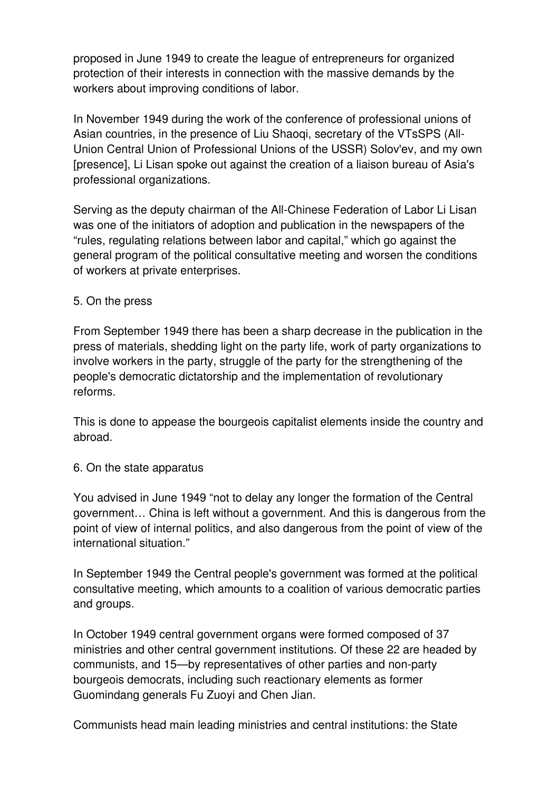proposed in June 1949 to create the league of entrepreneurs for organized protection of their interests in connection with the massive demands by the workers about improving conditions of labor.

In November 1949 during the work of the conference of professional unions of Asian countries, in the presence of Liu Shaoqi, secretary of the VTsSPS (All-Union Central Union of Professional Unions of the USSR) Solov'ev, and my own [presence], Li Lisan spoke out against the creation of a liaison bureau of Asia's professional organizations.

Serving as the deputy chairman of the All-Chinese Federation of Labor Li Lisan was one of the initiators of adoption and publication in the newspapers of the "rules, regulating relations between labor and capital," which go against the general program of the political consultative meeting and worsen the conditions of workers at private enterprises.

#### 5. On the press

From September 1949 there has been a sharp decrease in the publication in the press of materials, shedding light on the party life, work of party organizations to involve workers in the party, struggle of the party for the strengthening of the people's democratic dictatorship and the implementation of revolutionary reforms.

This is done to appease the bourgeois capitalist elements inside the country and abroad.

#### 6. On the state apparatus

You advised in June 1949 "not to delay any longer the formation of the Central government… China is left without a government. And this is dangerous from the point of view of internal politics, and also dangerous from the point of view of the international situation."

In September 1949 the Central people's government was formed at the political consultative meeting, which amounts to a coalition of various democratic parties and groups.

In October 1949 central government organs were formed composed of 37 ministries and other central government institutions. Of these 22 are headed by communists, and 15—by representatives of other parties and non-party bourgeois democrats, including such reactionary elements as former Guomindang generals Fu Zuoyi and Chen Jian.

Communists head main leading ministries and central institutions: the State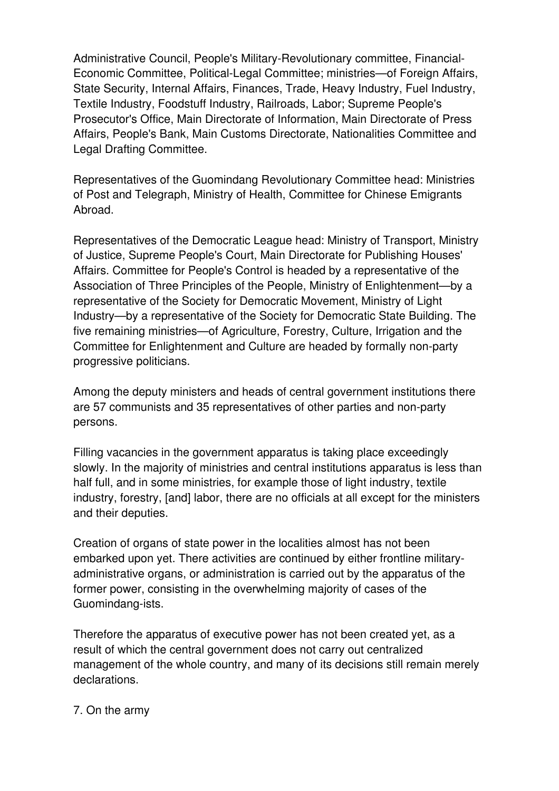Administrative Council, People's Military-Revolutionary committee, Financial-Economic Committee, Political-Legal Committee; ministries—of Foreign Affairs, State Security, Internal Affairs, Finances, Trade, Heavy Industry, Fuel Industry, Textile Industry, Foodstuff Industry, Railroads, Labor; Supreme People's Prosecutor's Office, Main Directorate of Information, Main Directorate of Press Affairs, People's Bank, Main Customs Directorate, Nationalities Committee and Legal Drafting Committee.

Representatives of the Guomindang Revolutionary Committee head: Ministries of Post and Telegraph, Ministry of Health, Committee for Chinese Emigrants Abroad.

Representatives of the Democratic League head: Ministry of Transport, Ministry of Justice, Supreme People's Court, Main Directorate for Publishing Houses' Affairs. Committee for People's Control is headed by a representative of the Association of Three Principles of the People, Ministry of Enlightenment—by a representative of the Society for Democratic Movement, Ministry of Light Industry—by a representative of the Society for Democratic State Building. The five remaining ministries—of Agriculture, Forestry, Culture, Irrigation and the Committee for Enlightenment and Culture are headed by formally non-party progressive politicians.

Among the deputy ministers and heads of central government institutions there are 57 communists and 35 representatives of other parties and non-party persons.

Filling vacancies in the government apparatus is taking place exceedingly slowly. In the majority of ministries and central institutions apparatus is less than half full, and in some ministries, for example those of light industry, textile industry, forestry, [and] labor, there are no officials at all except for the ministers and their deputies.

Creation of organs of state power in the localities almost has not been embarked upon yet. There activities are continued by either frontline militaryadministrative organs, or administration is carried out by the apparatus of the former power, consisting in the overwhelming majority of cases of the Guomindang-ists.

Therefore the apparatus of executive power has not been created yet, as a result of which the central government does not carry out centralized management of the whole country, and many of its decisions still remain merely declarations.

#### 7. On the army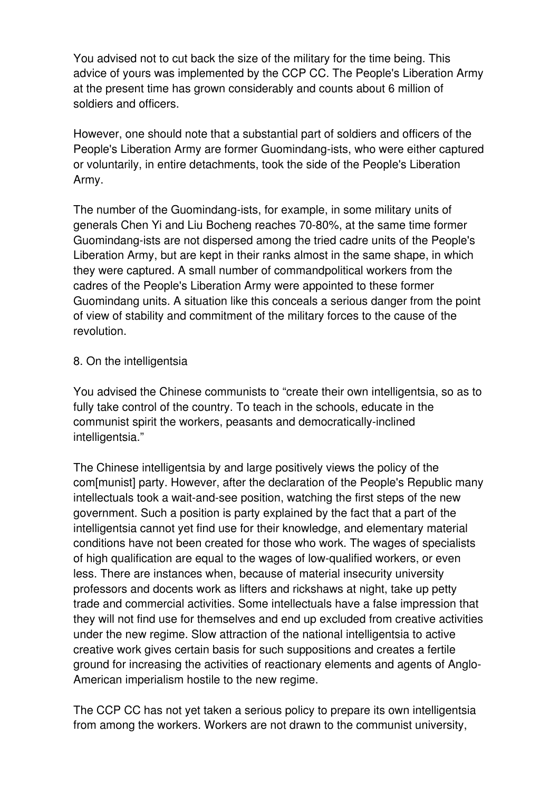You advised not to cut back the size of the military for the time being. This advice of yours was implemented by the CCP CC. The People's Liberation Army at the present time has grown considerably and counts about 6 million of soldiers and officers.

However, one should note that a substantial part of soldiers and officers of the People's Liberation Army are former Guomindang-ists, who were either captured or voluntarily, in entire detachments, took the side of the People's Liberation Army.

The number of the Guomindang-ists, for example, in some military units of generals Chen Yi and Liu Bocheng reaches 70-80%, at the same time former Guomindang-ists are not dispersed among the tried cadre units of the People's Liberation Army, but are kept in their ranks almost in the same shape, in which they were captured. A small number of commandpolitical workers from the cadres of the People's Liberation Army were appointed to these former Guomindang units. A situation like this conceals a serious danger from the point of view of stability and commitment of the military forces to the cause of the revolution.

#### 8. On the intelligentsia

You advised the Chinese communists to "create their own intelligentsia, so as to fully take control of the country. To teach in the schools, educate in the communist spirit the workers, peasants and democratically-inclined intelligentsia."

The Chinese intelligentsia by and large positively views the policy of the com[munist] party. However, after the declaration of the People's Republic many intellectuals took a wait-and-see position, watching the first steps of the new government. Such a position is party explained by the fact that a part of the intelligentsia cannot yet find use for their knowledge, and elementary material conditions have not been created for those who work. The wages of specialists of high qualification are equal to the wages of low-qualified workers, or even less. There are instances when, because of material insecurity university professors and docents work as lifters and rickshaws at night, take up petty trade and commercial activities. Some intellectuals have a false impression that they will not find use for themselves and end up excluded from creative activities under the new regime. Slow attraction of the national intelligentsia to active creative work gives certain basis for such suppositions and creates a fertile ground for increasing the activities of reactionary elements and agents of Anglo-American imperialism hostile to the new regime.

The CCP CC has not yet taken a serious policy to prepare its own intelligentsia from among the workers. Workers are not drawn to the communist university,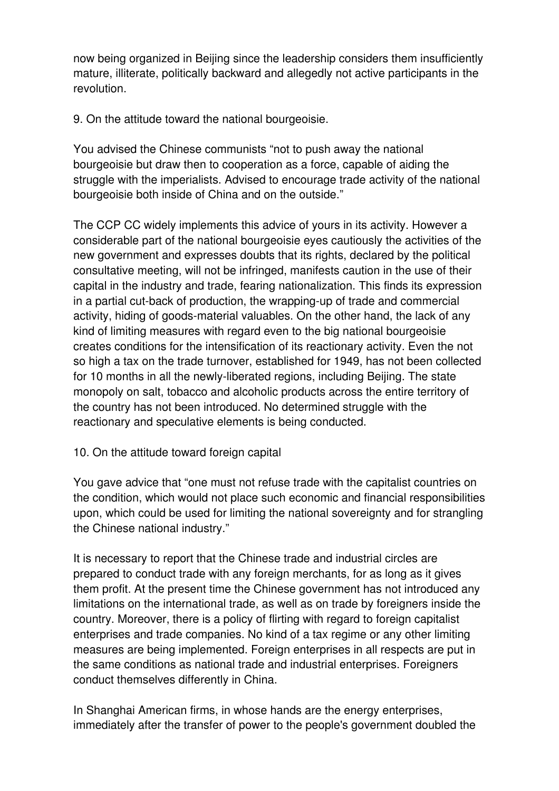now being organized in Beijing since the leadership considers them insufficiently mature, illiterate, politically backward and allegedly not active participants in the revolution.

9. On the attitude toward the national bourgeoisie.

You advised the Chinese communists "not to push away the national bourgeoisie but draw then to cooperation as a force, capable of aiding the struggle with the imperialists. Advised to encourage trade activity of the national bourgeoisie both inside of China and on the outside."

The CCP CC widely implements this advice of yours in its activity. However a considerable part of the national bourgeoisie eyes cautiously the activities of the new government and expresses doubts that its rights, declared by the political consultative meeting, will not be infringed, manifests caution in the use of their capital in the industry and trade, fearing nationalization. This finds its expression in a partial cut-back of production, the wrapping-up of trade and commercial activity, hiding of goods-material valuables. On the other hand, the lack of any kind of limiting measures with regard even to the big national bourgeoisie creates conditions for the intensification of its reactionary activity. Even the not so high a tax on the trade turnover, established for 1949, has not been collected for 10 months in all the newly-liberated regions, including Beijing. The state monopoly on salt, tobacco and alcoholic products across the entire territory of the country has not been introduced. No determined struggle with the reactionary and speculative elements is being conducted.

#### 10. On the attitude toward foreign capital

You gave advice that "one must not refuse trade with the capitalist countries on the condition, which would not place such economic and financial responsibilities upon, which could be used for limiting the national sovereignty and for strangling the Chinese national industry."

It is necessary to report that the Chinese trade and industrial circles are prepared to conduct trade with any foreign merchants, for as long as it gives them profit. At the present time the Chinese government has not introduced any limitations on the international trade, as well as on trade by foreigners inside the country. Moreover, there is a policy of flirting with regard to foreign capitalist enterprises and trade companies. No kind of a tax regime or any other limiting measures are being implemented. Foreign enterprises in all respects are put in the same conditions as national trade and industrial enterprises. Foreigners conduct themselves differently in China.

In Shanghai American firms, in whose hands are the energy enterprises, immediately after the transfer of power to the people's government doubled the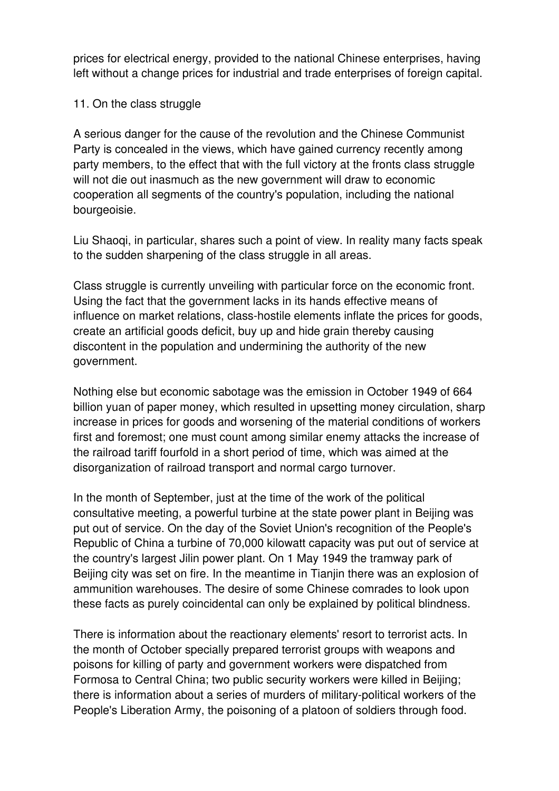prices for electrical energy, provided to the national Chinese enterprises, having left without a change prices for industrial and trade enterprises of foreign capital.

#### 11. On the class struggle

A serious danger for the cause of the revolution and the Chinese Communist Party is concealed in the views, which have gained currency recently among party members, to the effect that with the full victory at the fronts class struggle will not die out inasmuch as the new government will draw to economic cooperation all segments of the country's population, including the national bourgeoisie.

Liu Shaoqi, in particular, shares such a point of view. In reality many facts speak to the sudden sharpening of the class struggle in all areas.

Class struggle is currently unveiling with particular force on the economic front. Using the fact that the government lacks in its hands effective means of influence on market relations, class-hostile elements inflate the prices for goods, create an artificial goods deficit, buy up and hide grain thereby causing discontent in the population and undermining the authority of the new government.

Nothing else but economic sabotage was the emission in October 1949 of 664 billion yuan of paper money, which resulted in upsetting money circulation, sharp increase in prices for goods and worsening of the material conditions of workers first and foremost; one must count among similar enemy attacks the increase of the railroad tariff fourfold in a short period of time, which was aimed at the disorganization of railroad transport and normal cargo turnover.

In the month of September, just at the time of the work of the political consultative meeting, a powerful turbine at the state power plant in Beijing was put out of service. On the day of the Soviet Union's recognition of the People's Republic of China a turbine of 70,000 kilowatt capacity was put out of service at the country's largest Jilin power plant. On 1 May 1949 the tramway park of Beijing city was set on fire. In the meantime in Tianjin there was an explosion of ammunition warehouses. The desire of some Chinese comrades to look upon these facts as purely coincidental can only be explained by political blindness.

There is information about the reactionary elements' resort to terrorist acts. In the month of October specially prepared terrorist groups with weapons and poisons for killing of party and government workers were dispatched from Formosa to Central China; two public security workers were killed in Beijing; there is information about a series of murders of military-political workers of the People's Liberation Army, the poisoning of a platoon of soldiers through food.